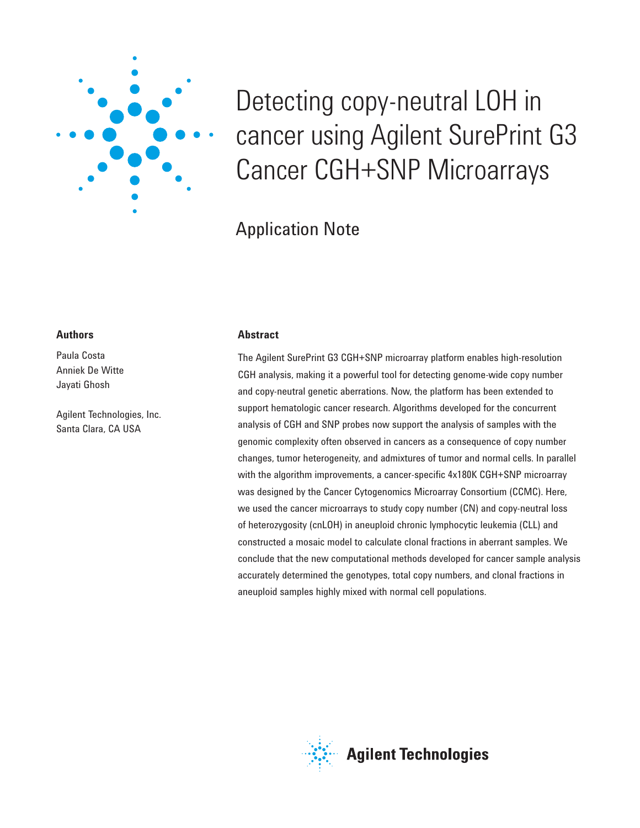

# Detecting copy-neutral LOH in cancer using Agilent SurePrint G3 Cancer CGH+SNP Microarrays

# Application Note

# **Authors**

Paula Costa Anniek De Witte Jayati Ghosh

Agilent Technologies, Inc. Santa Clara, CA USA

# **Abstract**

The Agilent SurePrint G3 CGH+SNP microarray platform enables high-resolution CGH analysis, making it a powerful tool for detecting genome-wide copy number and copy-neutral genetic aberrations. Now, the platform has been extended to support hematologic cancer research. Algorithms developed for the concurrent analysis of CGH and SNP probes now support the analysis of samples with the genomic complexity often observed in cancers as a consequence of copy number changes, tumor heterogeneity, and admixtures of tumor and normal cells. In parallel with the algorithm improvements, a cancer-specific 4x180K CGH+SNP microarray was designed by the Cancer Cytogenomics Microarray Consortium (CCMC). Here, we used the cancer microarrays to study copy number (CN) and copy-neutral loss of heterozygosity (cnLOH) in aneuploid chronic lymphocytic leukemia (CLL) and constructed a mosaic model to calculate clonal fractions in aberrant samples. We conclude that the new computational methods developed for cancer sample analysis accurately determined the genotypes, total copy numbers, and clonal fractions in aneuploid samples highly mixed with normal cell populations.

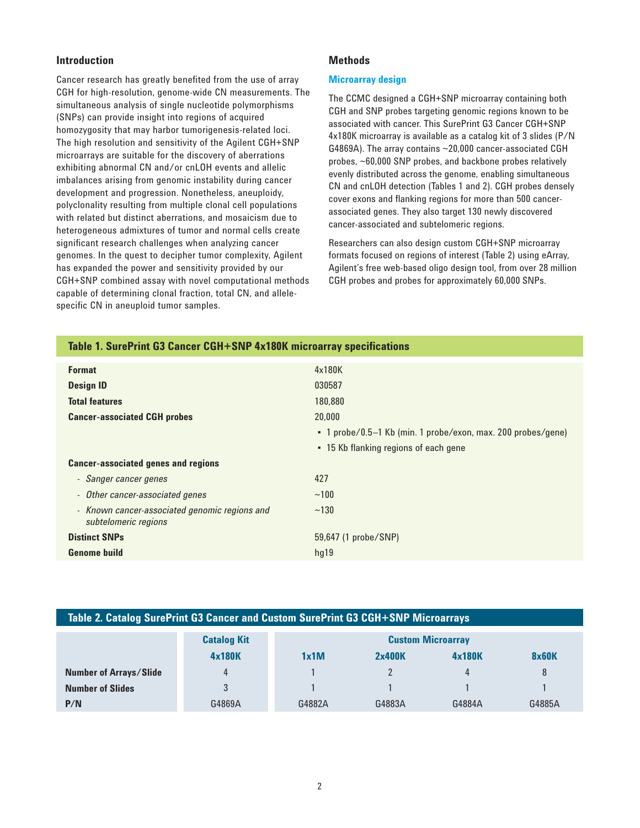# **Introduction**

Cancer research has greatly benefited from the use of array CGH for high-resolution, genome-wide CN measurements. The simultaneous analysis of single nucleotide polymorphisms (SNPs) can provide insight into regions of acquired homozygosity that may harbor tumorigenesis-related loci. The high resolution and sensitivity of the Agilent CGH+SNP microarrays are suitable for the discovery of aberrations exhibiting abnormal CN and/or cnLOH events and allelic imbalances arising from genomic instability during cancer development and progression. Nonetheless, aneuploidy, polyclonality resulting from multiple clonal cell populations with related but distinct aberrations, and mosaicism due to heterogeneous admixtures of tumor and normal cells create significant research challenges when analyzing cancer genomes. In the quest to decipher tumor complexity, Agilent has expanded the power and sensitivity provided by our CGH+SNP combined assay with novel computational methods capable of determining clonal fraction, total CN, and allelespecific CN in aneuploid tumor samples.

# **Methods**

#### **Microarray design**

The CCMC designed a CGH+SNP microarray containing both CGH and SNP probes targeting genomic regions known to be associated with cancer. This SurePrint G3 Cancer CGH+SNP 4x180K microarray is available as a catalog kit of 3 slides (P/N G4869A). The array contains ~20,000 cancer-associated CGH probes, ~60,000 SNP probes, and backbone probes relatively evenly distributed across the genome, enabling simultaneous CN and cnLOH detection (Tables 1 and 2). CGH probes densely cover exons and flanking regions for more than 500 cancerassociated genes. They also target 130 newly discovered cancer-associated and subtelomeric regions.

Researchers can also design custom CGH+SNP microarray formats focused on regions of interest (Table 2) using eArray, Agilent's free web-based oligo design tool, from over 28 million CGH probes and probes for approximately 60,000 SNPs.

| Table 1. SurePrint G3 Cancer CGH+SNP 4x180K microarray specifications |                                                              |  |  |
|-----------------------------------------------------------------------|--------------------------------------------------------------|--|--|
| <b>Format</b>                                                         | 4x180K                                                       |  |  |
| <b>Design ID</b>                                                      | 030587<br>180,880                                            |  |  |
| <b>Total features</b>                                                 |                                                              |  |  |
| <b>Cancer-associated CGH probes</b>                                   | 20,000                                                       |  |  |
|                                                                       | • 1 probe/0.5-1 Kb (min. 1 probe/exon, max. 200 probes/gene) |  |  |
|                                                                       | • 15 Kb flanking regions of each gene                        |  |  |
| <b>Cancer-associated genes and regions</b>                            |                                                              |  |  |
| - Sanger cancer genes                                                 | 427                                                          |  |  |
| Other cancer-associated genes<br>$\overline{\phantom{a}}$             | ~100                                                         |  |  |
| - Known cancer-associated genomic regions and<br>subtelomeric regions | ~130                                                         |  |  |
| <b>Distinct SNPs</b>                                                  | 59,647 (1 probe/SNP)                                         |  |  |
| <b>Genome build</b>                                                   | hq19                                                         |  |  |

|  | Table 2. Catalog SurePrint G3 Cancer and Custom SurePrint G3 CGH+SNP Microarrays |
|--|----------------------------------------------------------------------------------|
|--|----------------------------------------------------------------------------------|

|                               | <b>Catalog Kit</b> | <b>Custom Microarray</b> |        |        |              |
|-------------------------------|--------------------|--------------------------|--------|--------|--------------|
|                               | 4x180K             | 1x1M                     | 2x400K | 4x180K | <b>8x60K</b> |
| <b>Number of Arrays/Slide</b> | 4                  |                          |        | 4      | 8            |
| <b>Number of Slides</b>       | 3                  |                          |        |        |              |
| P/N                           | G4869A             | G4882A                   | G4883A | G4884A | G4885A       |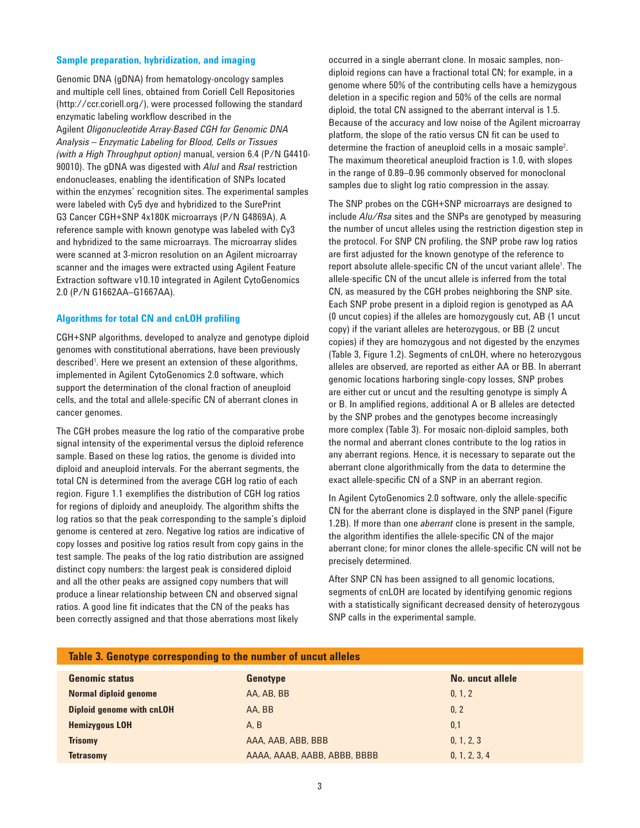#### **Sample preparation, hybridization, and imaging**

Genomic DNA (gDNA) from hematology-oncology samples and multiple cell lines, obtained from Coriell Cell Repositories (http://ccr.coriell.org/), were processed following the standard enzymatic labeling workflow described in the Agilent *Oligonucleotide Array-Based CGH for Genomic DNA Analysis – Enzymatic Labeling for Blood, Cells or Tissues (with a High Throughput option)* manual, version 6.4 (P/N G4410- 90010). The gDNA was digested with *AluI* and *RsaI* restriction endonucleases, enabling the identification of SNPs located within the enzymes' recognition sites. The experimental samples were labeled with Cy5 dye and hybridized to the SurePrint G3 Cancer CGH+SNP 4x180K microarrays (P/N G4869A). A reference sample with known genotype was labeled with Cy3 and hybridized to the same microarrays. The microarray slides were scanned at 3-micron resolution on an Agilent microarray scanner and the images were extracted using Agilent Feature Extraction software v10.10 integrated in Agilent CytoGenomics 2.0 (P/N G1662AA–G1667AA).

#### **Algorithms for total CN and cnLOH profiling**

CGH+SNP algorithms, developed to analyze and genotype diploid genomes with constitutional aberrations, have been previously described<sup>1</sup>. Here we present an extension of these algorithms, implemented in Agilent CytoGenomics 2.0 software, which support the determination of the clonal fraction of aneuploid cells, and the total and allele-specific CN of aberrant clones in cancer genomes.

The CGH probes measure the log ratio of the comparative probe signal intensity of the experimental versus the diploid reference sample. Based on these log ratios, the genome is divided into diploid and aneuploid intervals. For the aberrant segments, the total CN is determined from the average CGH log ratio of each region. Figure 1.1 exemplifies the distribution of CGH log ratios for regions of diploidy and aneuploidy. The algorithm shifts the log ratios so that the peak corresponding to the sample's diploid genome is centered at zero. Negative log ratios are indicative of copy losses and positive log ratios result from copy gains in the test sample. The peaks of the log ratio distribution are assigned distinct copy numbers: the largest peak is considered diploid and all the other peaks are assigned copy numbers that will produce a linear relationship between CN and observed signal ratios. A good line fit indicates that the CN of the peaks has been correctly assigned and that those aberrations most likely

occurred in a single aberrant clone. In mosaic samples, nondiploid regions can have a fractional total CN; for example, in a genome where 50% of the contributing cells have a hemizygous deletion in a specific region and 50% of the cells are normal diploid, the total CN assigned to the aberrant interval is 1.5. Because of the accuracy and low noise of the Agilent microarray platform, the slope of the ratio versus CN fit can be used to determine the fraction of aneuploid cells in a mosaic sample<sup>2</sup>. The maximum theoretical aneuploid fraction is 1.0, with slopes in the range of 0.89–0.96 commonly observed for monoclonal samples due to slight log ratio compression in the assay.

The SNP probes on the CGH+SNP microarrays are designed to include *Alu/Rsa* sites and the SNPs are genotyped by measuring the number of uncut alleles using the restriction digestion step in the protocol. For SNP CN profiling, the SNP probe raw log ratios are first adjusted for the known genotype of the reference to report absolute allele-specific CN of the uncut variant allele<sup>1</sup>. The allele-specific CN of the uncut allele is inferred from the total CN, as measured by the CGH probes neighboring the SNP site. Each SNP probe present in a diploid region is genotyped as AA (0 uncut copies) if the alleles are homozygously cut, AB (1 uncut copy) if the variant alleles are heterozygous, or BB (2 uncut copies) if they are homozygous and not digested by the enzymes (Table 3, Figure 1.2). Segments of cnLOH, where no heterozygous alleles are observed, are reported as either AA or BB. In aberrant genomic locations harboring single-copy losses, SNP probes are either cut or uncut and the resulting genotype is simply A or B. In amplified regions, additional A or B alleles are detected by the SNP probes and the genotypes become increasingly more complex (Table 3). For mosaic non-diploid samples, both the normal and aberrant clones contribute to the log ratios in any aberrant regions. Hence, it is necessary to separate out the aberrant clone algorithmically from the data to determine the exact allele-specific CN of a SNP in an aberrant region.

In Agilent CytoGenomics 2.0 software, only the allele-specific CN for the aberrant clone is displayed in the SNP panel (Figure 1.2B). If more than one *aberrant* clone is present in the sample, the algorithm identifies the allele-specific CN of the major aberrant clone; for minor clones the allele-specific CN will not be precisely determined.

After SNP CN has been assigned to all genomic locations, segments of cnLOH are located by identifying genomic regions with a statistically significant decreased density of heterozygous SNP calls in the experimental sample.

| Tradie 3. Genotype corresponding to the number of uncut alleles |                              |                  |  |  |  |
|-----------------------------------------------------------------|------------------------------|------------------|--|--|--|
| <b>Genomic status</b>                                           | <b>Genotype</b>              | No. uncut allele |  |  |  |
| Normal diploid genome                                           | AA, AB, BB                   | 0, 1, 2          |  |  |  |
| <b>Diploid genome with cnLOH</b>                                | AA, BB                       | 0, 2             |  |  |  |
| <b>Hemizygous LOH</b>                                           | A. B                         | 0.1              |  |  |  |
| <b>Trisomy</b>                                                  | AAA, AAB, ABB, BBB           | 0, 1, 2, 3       |  |  |  |
| <b>Tetrasomy</b>                                                | AAAA, AAAB, AABB, ABBB, BBBB | 0, 1, 2, 3, 4    |  |  |  |

#### **Table 3. Genotype corresponding to the number of uncut alleles**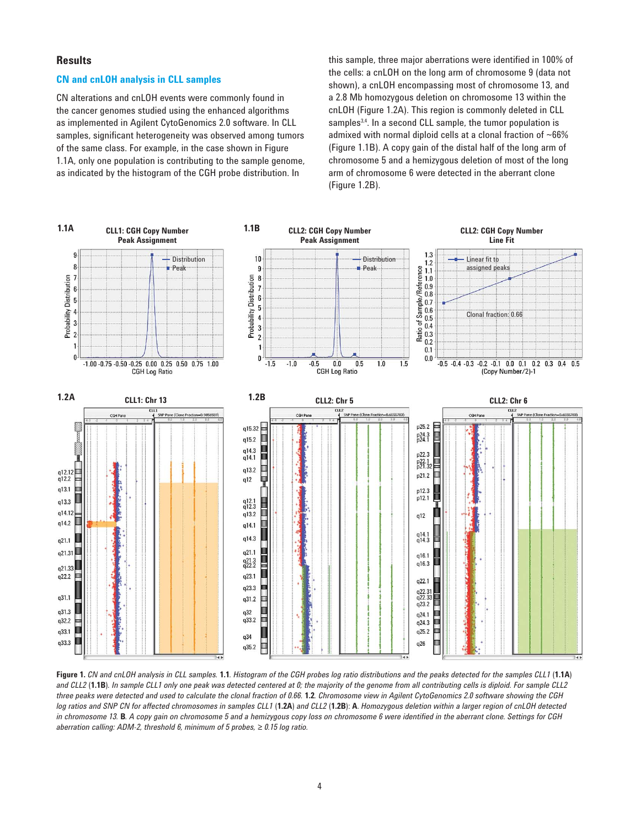#### **Results**

#### **CN and cnLOH analysis in CLL samples**

CN alterations and cnLOH events were commonly found in the cancer genomes studied using the enhanced algorithms as implemented in Agilent CytoGenomics 2.0 software. In CLL samples, significant heterogeneity was observed among tumors of the same class. For example, in the case shown in Figure 1.1A, only one population is contributing to the sample genome, as indicated by the histogram of the CGH probe distribution. In

this sample, three major aberrations were identified in 100% of the cells: a cnLOH on the long arm of chromosome 9 (data not shown), a cnLOH encompassing most of chromosome 13, and a 2.8 Mb homozygous deletion on chromosome 13 within the cnLOH (Figure 1.2A). This region is commonly deleted in CLL samples<sup>3,4</sup>. In a second CLL sample, the tumor population is admixed with normal diploid cells at a clonal fraction of ~66% (Figure 1.1B). A copy gain of the distal half of the long arm of chromosome 5 and a hemizygous deletion of most of the long arm of chromosome 6 were detected in the aberrant clone (Figure 1.2B).



**Figure 1.** *CN and cnLOH analysis in CLL samples.* **1.1***. Histogram of the CGH probes log ratio distributions and the peaks detected for the samples CLL1* (**1.1A**) *and CLL2* (**1.1B**)*. In sample CLL1 only one peak was detected centered at 0; the majority of the genome from all contributing cells is diploid. For sample CLL2 three peaks were detected and used to calculate the clonal fraction of 0.66.* **1.2***. Chromosome view in Agilent CytoGenomics 2.0 software showing the CGH log ratios and SNP CN for affected chromosomes in samples CLL1* (**1.2A**) *and CLL2* (**1.2B**): **A**. *Homozygous deletion within a larger region of cnLOH detected*  in chromosome 13. **B**. A copy gain on chromosome 5 and a hemizygous copy loss on chromosome 6 were identified in the aberrant clone. Settings for CGH *aberration calling: ADM-2, threshold 6, minimum of 5 probes, ≥ 0.15 log ratio.*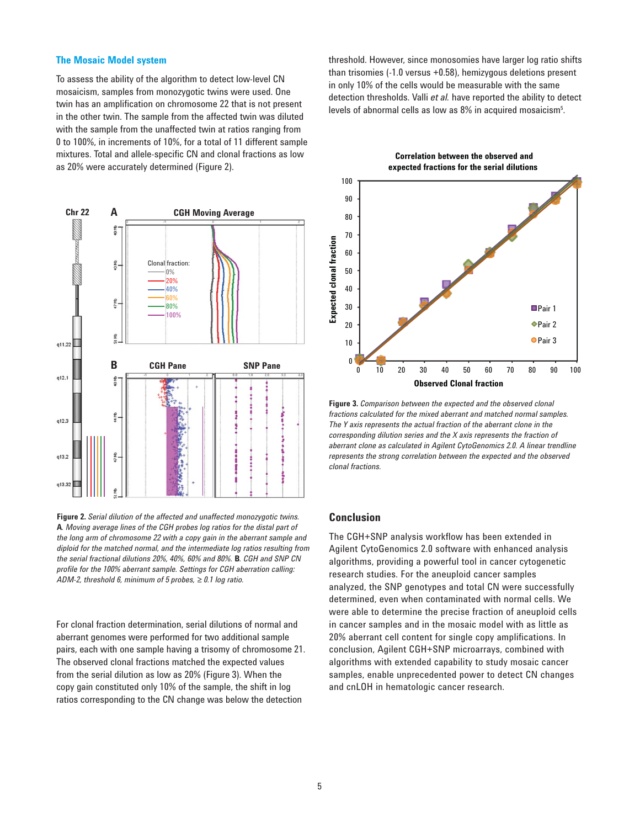#### **The Mosaic Model system**

To assess the ability of the algorithm to detect low-level CN mosaicism, samples from monozygotic twins were used. One twin has an amplification on chromosome 22 that is not present in the other twin. The sample from the affected twin was diluted with the sample from the unaffected twin at ratios ranging from 0 to 100%, in increments of 10%, for a total of 11 different sample mixtures. Total and allele-specific CN and clonal fractions as low as 20% were accurately determined (Figure 2).



**Figure 2.** *Serial dilution of the affected and unaffected monozygotic twins.*  **A***. Moving average lines of the CGH probes log ratios for the distal part of the long arm of chromosome 22 with a copy gain in the aberrant sample and diploid for the matched normal, and the intermediate log ratios resulting from the serial fractional dilutions 20%, 40%, 60% and 80%.* **B***. CGH and SNP CN profi le for the 100% aberrant sample. Settings for CGH aberration calling: ADM-2, threshold 6, minimum of 5 probes, ≥ 0.1 log ratio.*

For clonal fraction determination, serial dilutions of normal and aberrant genomes were performed for two additional sample pairs, each with one sample having a trisomy of chromosome 21. The observed clonal fractions matched the expected values from the serial dilution as low as 20% (Figure 3). When the copy gain constituted only 10% of the sample, the shift in log ratios corresponding to the CN change was below the detection

threshold. However, since monosomies have larger log ratio shifts than trisomies (-1.0 versus +0.58), hemizygous deletions present in only 10% of the cells would be measurable with the same detection thresholds. Valli *et al.* have reported the ability to detect levels of abnormal cells as low as  $8\%$  in acquired mosaicism $^5$ .



**Figure 3.** *Comparison between the expected and the observed clonal fractions calculated for the mixed aberrant and matched normal samples. The Y axis represents the actual fraction of the aberrant clone in the corresponding dilution series and the X axis represents the fraction of aberrant clone as calculated in Agilent CytoGenomics 2.0. A linear trendline represents the strong correlation between the expected and the observed clonal fractions.*

#### **Conclusion**

The CGH+SNP analysis workflow has been extended in Agilent CytoGenomics 2.0 software with enhanced analysis algorithms, providing a powerful tool in cancer cytogenetic research studies. For the aneuploid cancer samples analyzed, the SNP genotypes and total CN were successfully determined, even when contaminated with normal cells. We were able to determine the precise fraction of aneuploid cells in cancer samples and in the mosaic model with as little as 20% aberrant cell content for single copy amplifications. In conclusion, Agilent CGH+SNP microarrays, combined with algorithms with extended capability to study mosaic cancer samples, enable unprecedented power to detect CN changes and cnLOH in hematologic cancer research.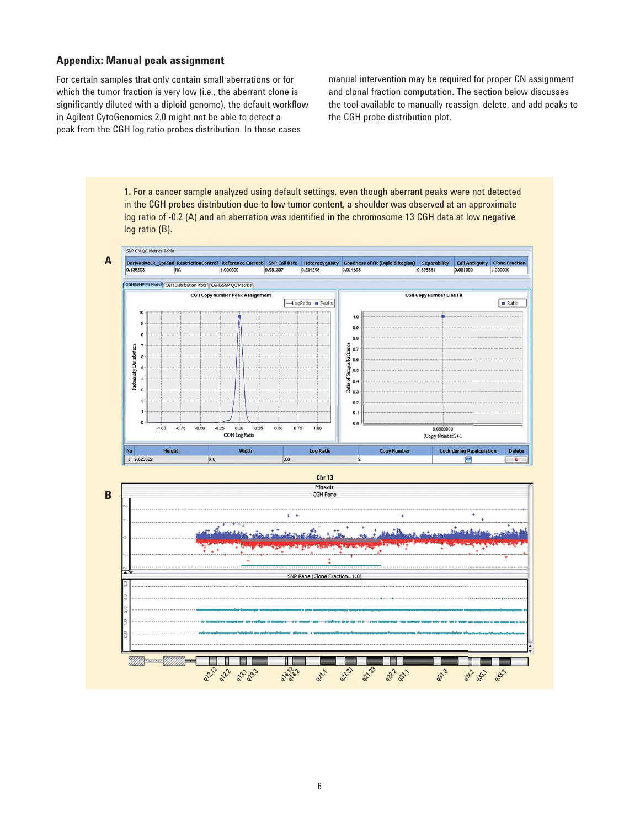# **Appendix: Manual peak assignment**

For certain samples that only contain small aberrations or for which the tumor fraction is very low (i.e., the aberrant clone is significantly diluted with a diploid genome), the default workflow in Agilent CytoGenomics 2.0 might not be able to detect a peak from the CGH log ratio probes distribution. In these cases

manual intervention may be required for proper CN assignment and clonal fraction computation. The section below discusses the tool available to manually reassign, delete, and add peaks to the CGH probe distribution plot.

**1.** For a cancer sample analyzed using default settings, even though aberrant peaks were not detected in the CGH probes distribution due to low tumor content, a shoulder was observed at an approximate log ratio of -0.2 (A) and an aberration was identified in the chromosome 13 CGH data at low negative log ratio (B).



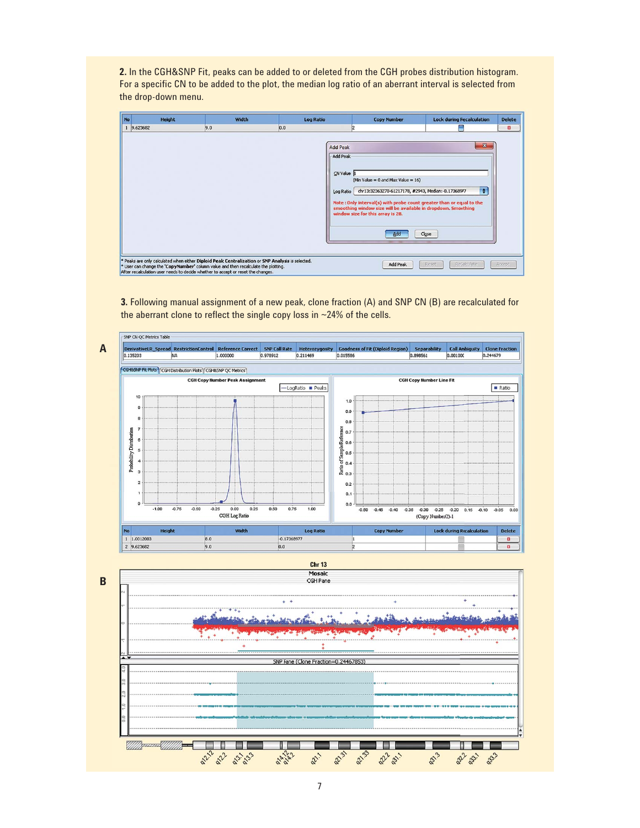**2.** In the CGH&SNP Fit, peaks can be added to or deleted from the CGH probes distribution histogram. For a specific CN to be added to the plot, the median log ratio of an aberrant interval is selected from the drop-down menu.

| No | <b>Height</b>                                                                                                                                                                                                                                                              | Width | <b>Log Ratio</b>                   | <b>Copy Number</b>                                                                                                                                                                                                                                                           | <b>Lock during Recalculation</b> | <b>Delete</b> |
|----|----------------------------------------------------------------------------------------------------------------------------------------------------------------------------------------------------------------------------------------------------------------------------|-------|------------------------------------|------------------------------------------------------------------------------------------------------------------------------------------------------------------------------------------------------------------------------------------------------------------------------|----------------------------------|---------------|
|    | 9.623682                                                                                                                                                                                                                                                                   | 9.0   | 0.0<br><b>Add Peak</b><br>Add Peak | 2                                                                                                                                                                                                                                                                            | $-x$                             | 図             |
|    |                                                                                                                                                                                                                                                                            |       | CN Value<br>Log Ratio              | (Min Value = $0$ and Max Value = $16$ )<br>chr13:32363270-61217178, #2943, Median:-0.17368977<br>Note: Only interval(s) with probe count greater than or equal to the<br>smoothing window size will be available in dropdown. Smoothing<br>window size for this array is 28. | ÷                                |               |
|    |                                                                                                                                                                                                                                                                            |       |                                    | Add                                                                                                                                                                                                                                                                          | Close                            |               |
|    | * Peaks are only calculated when either Diploid Peak Centralization or SNP Analysis is selected.<br>* User can change the 'CopyNumber' column value and then recalculate the plotting.<br>After recalculation user needs to decide whether to accept or reset the changes. |       |                                    | Add Peak                                                                                                                                                                                                                                                                     | ReGalculate<br>Reset             | Accept        |

**3.** Following manual assignment of a new peak, clone fraction (A) and SNP CN (B) are recalculated for the aberrant clone to reflect the single copy loss in  $\sim$  24% of the cells.